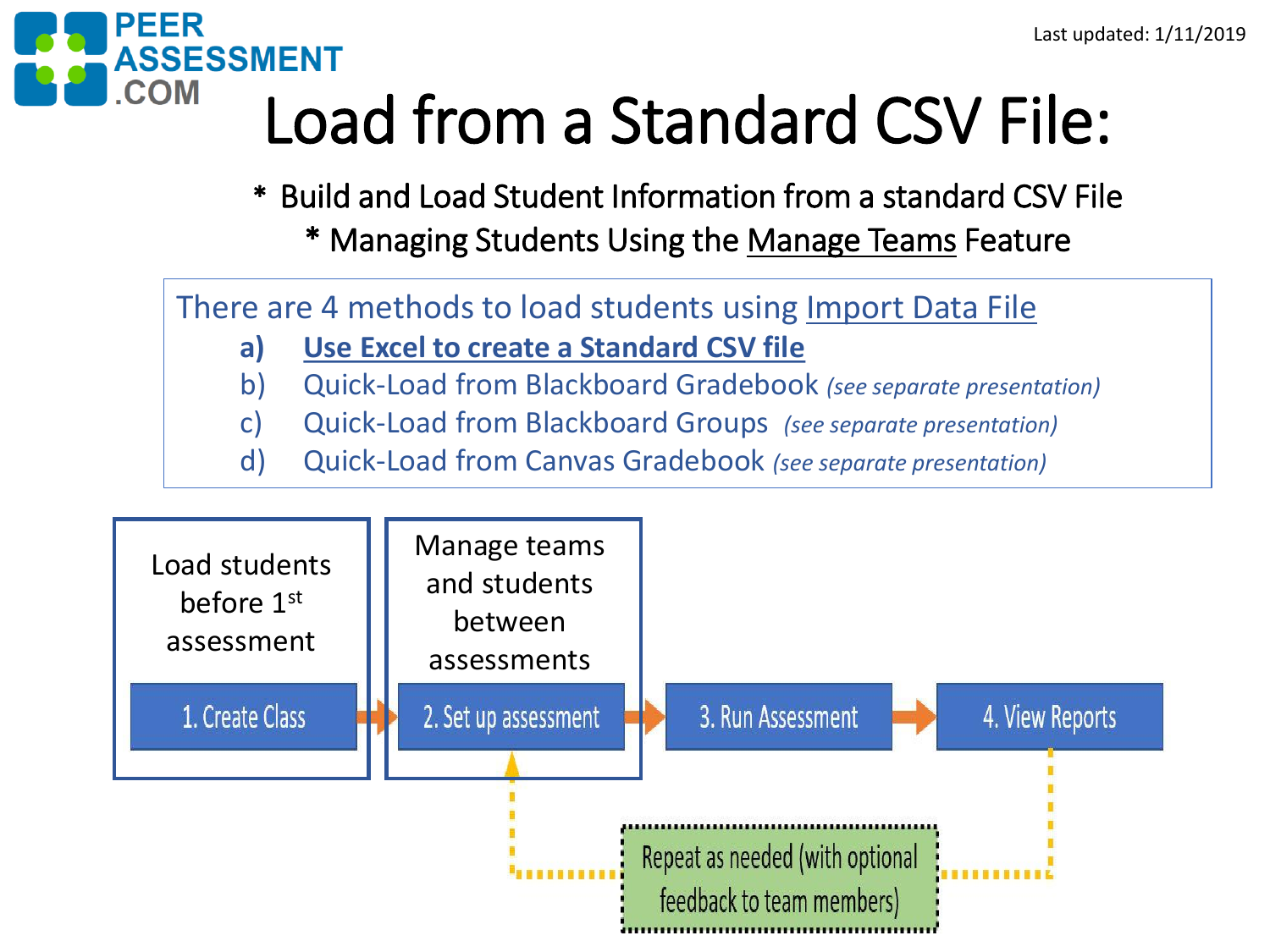

# Load from a Standard CSV File:

\* Build and Load Student Information from a standard CSV File

\* Managing Students Using the Manage Teams Feature

There are 4 methods to load students using Import Data File

- **a) Use Excel to create a Standard CSV file**
- b) Quick-Load from Blackboard Gradebook *(see separate presentation)*
- c) Quick-Load from Blackboard Groups *(see separate presentation)*
- d) Quick-Load from Canvas Gradebook *(see separate presentation)*

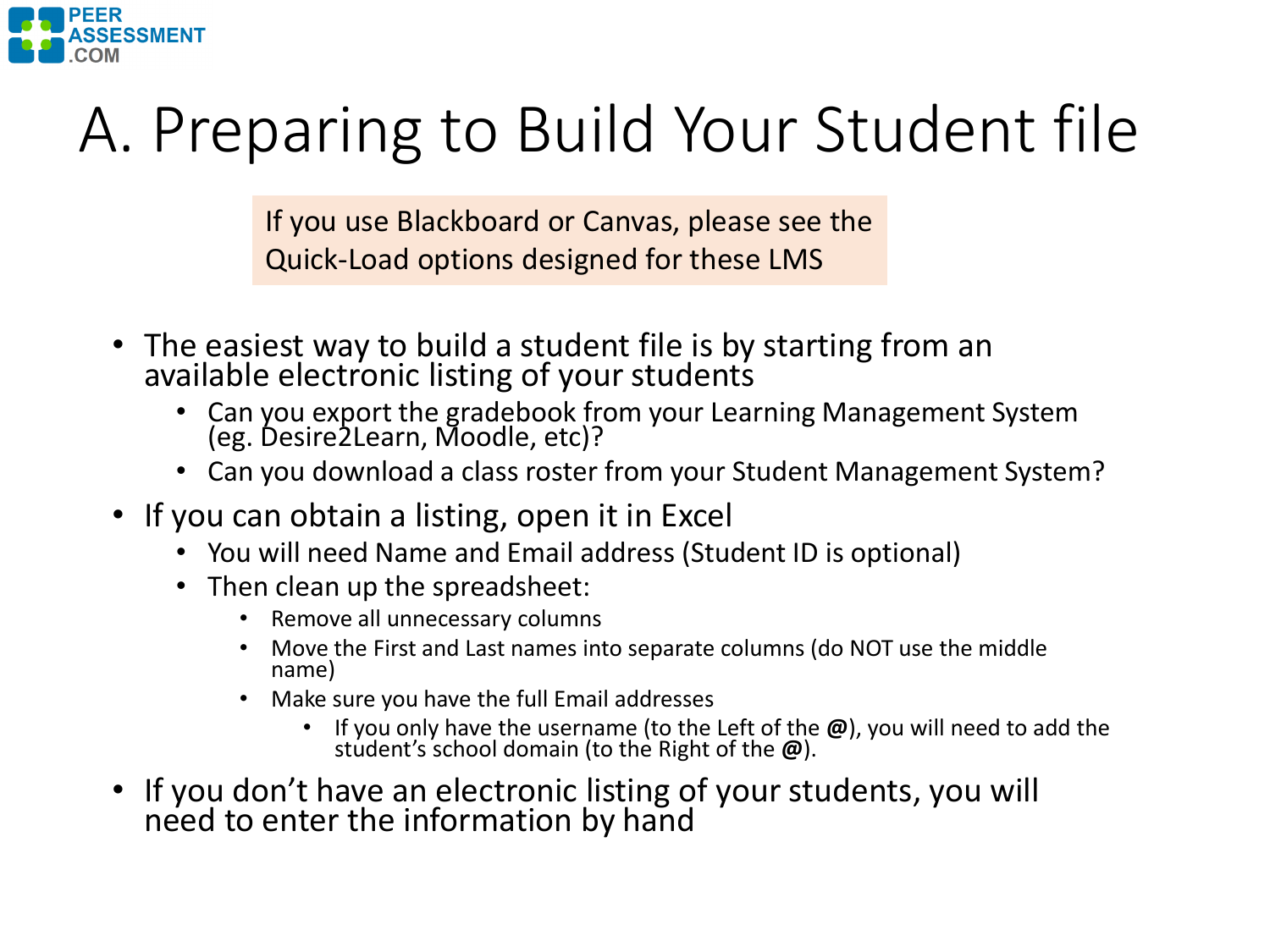

# A. Preparing to Build Your Student file

If you use Blackboard or Canvas, please see the Quick-Load options designed for these LMS

- The easiest way to build a student file is by starting from an available electronic listing of your students
	- Can you export the gradebook from your Learning Management System (eg. Desire2Learn, Moodle, etc)?
	- Can you download a class roster from your Student Management System?
- If you can obtain a listing, open it in Excel
	- You will need Name and Email address (Student ID is optional)
	- Then clean up the spreadsheet:
		- Remove all unnecessary columns
		- Move the First and Last names into separate columns (do NOT use the middle name)
		- Make sure you have the full Email addresses
			- If you only have the username (to the Left of the **@**), you will need to add the student's school domain (to the Right of the **@**).
- If you don't have an electronic listing of your students, you will need to enter the information by hand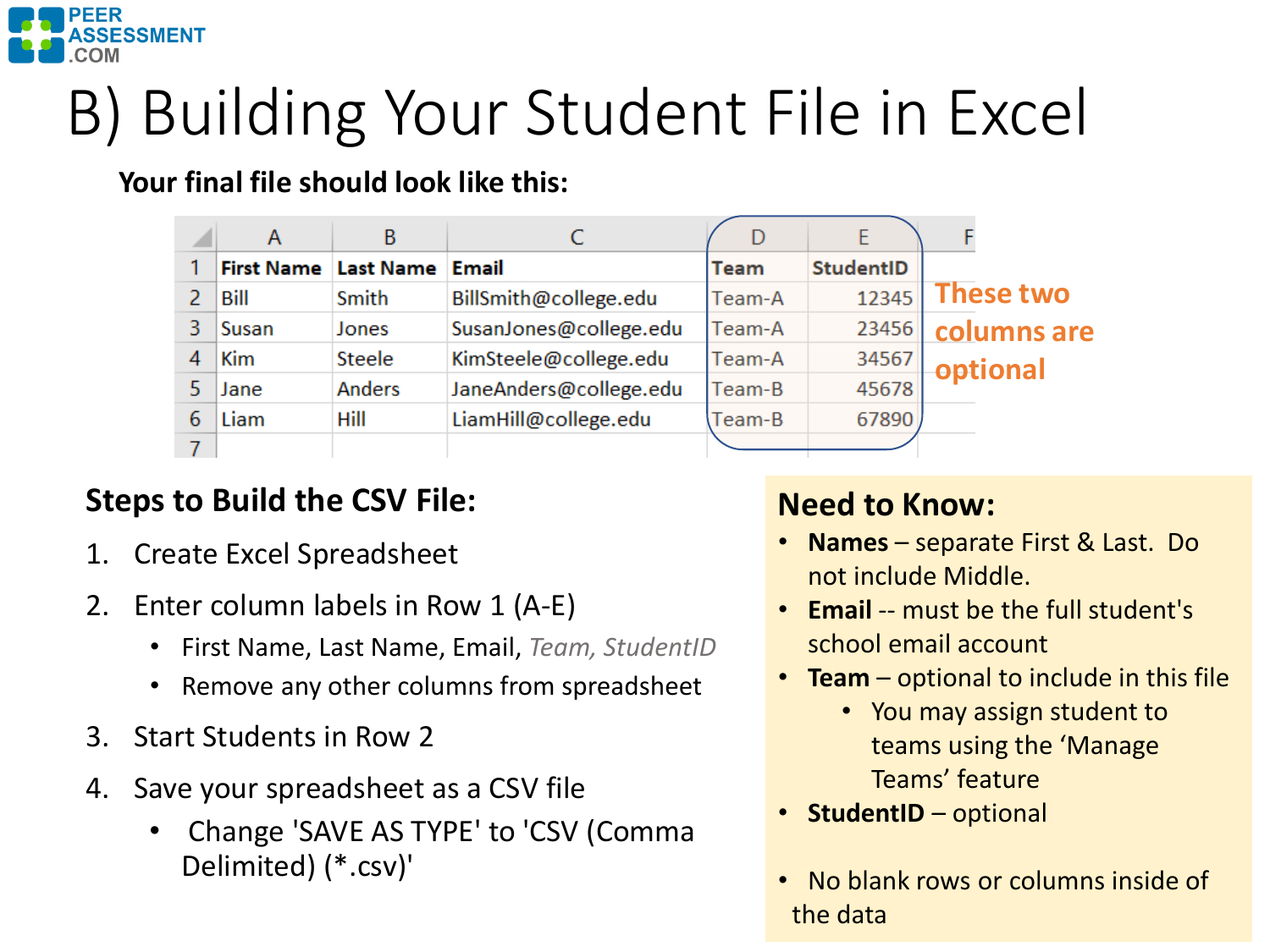

# B) Building Your Student File in Excel

**Your final file s[hould look like this:](mailto:LiamHill@college.edu)**

| Z. | Α                 | В                |                        | D           |                  |                  |
|----|-------------------|------------------|------------------------|-------------|------------------|------------------|
|    | <b>First Name</b> | <b>Last Name</b> | Email                  | <b>Team</b> | <b>StudentID</b> |                  |
|    | Bill              | Smith            | BillSmith@college.edu  | Team-A      | 12345            | <b>These two</b> |
| 3  | Susan             | Jones            | SusanJones@college.edu | Team-A      | 23456            | columns are      |
|    | <b>Kim</b>        | Steele           | KimSteele@college.edu  | Team-A      | 34567            | optional         |
|    | Jane              | <b>Anders</b>    | JaneAnders@college.edu | Team-B      | 45678            |                  |
| 6  | Liam              | Hill             | LiamHill@college.edu   | Team-B      | 67890            |                  |
|    |                   |                  |                        |             |                  |                  |

### **Steps to Build the CSV File:**

- 1. Create Excel Spreadsheet
- 2. Enter column labels in Row 1 (A-E)
	- First Name, Last Name, Email, *Team, StudentID*
	- Remove any other columns from spreadsheet
- 3. Start Students in Row 2
- 4. Save your spreadsheet as a CSV file
	- Change 'SAVE AS TYPE' to 'CSV (Comma Delimited) (\*.csv)'

### **Need to Know:**

- **Names** separate First & Last. Do not include Middle.
- **Email** -- must be the full student's school email account
- **Team** optional to include in this file
	- You may assign student to teams using the 'Manage Teams' feature
- **StudentID** optional
- No blank rows or columns inside of the data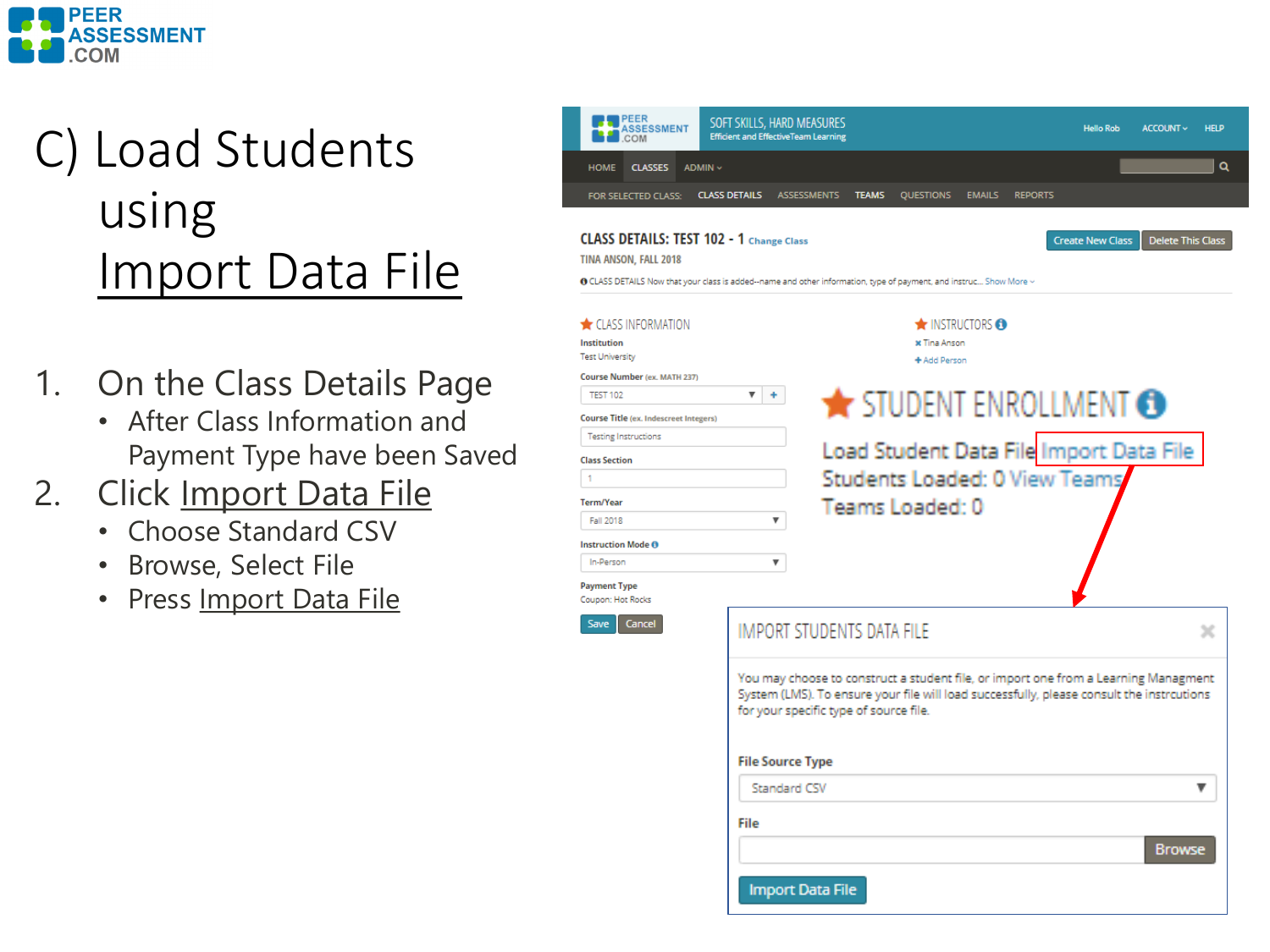

### C) Load Students using Import Data File

- 1. On the Class Details Page
	- After Class Information and Payment Type have been Saved
- 2. Click Import Data File
	- Choose Standard CSV
	- Browse, Select File
	- Press Import Data File

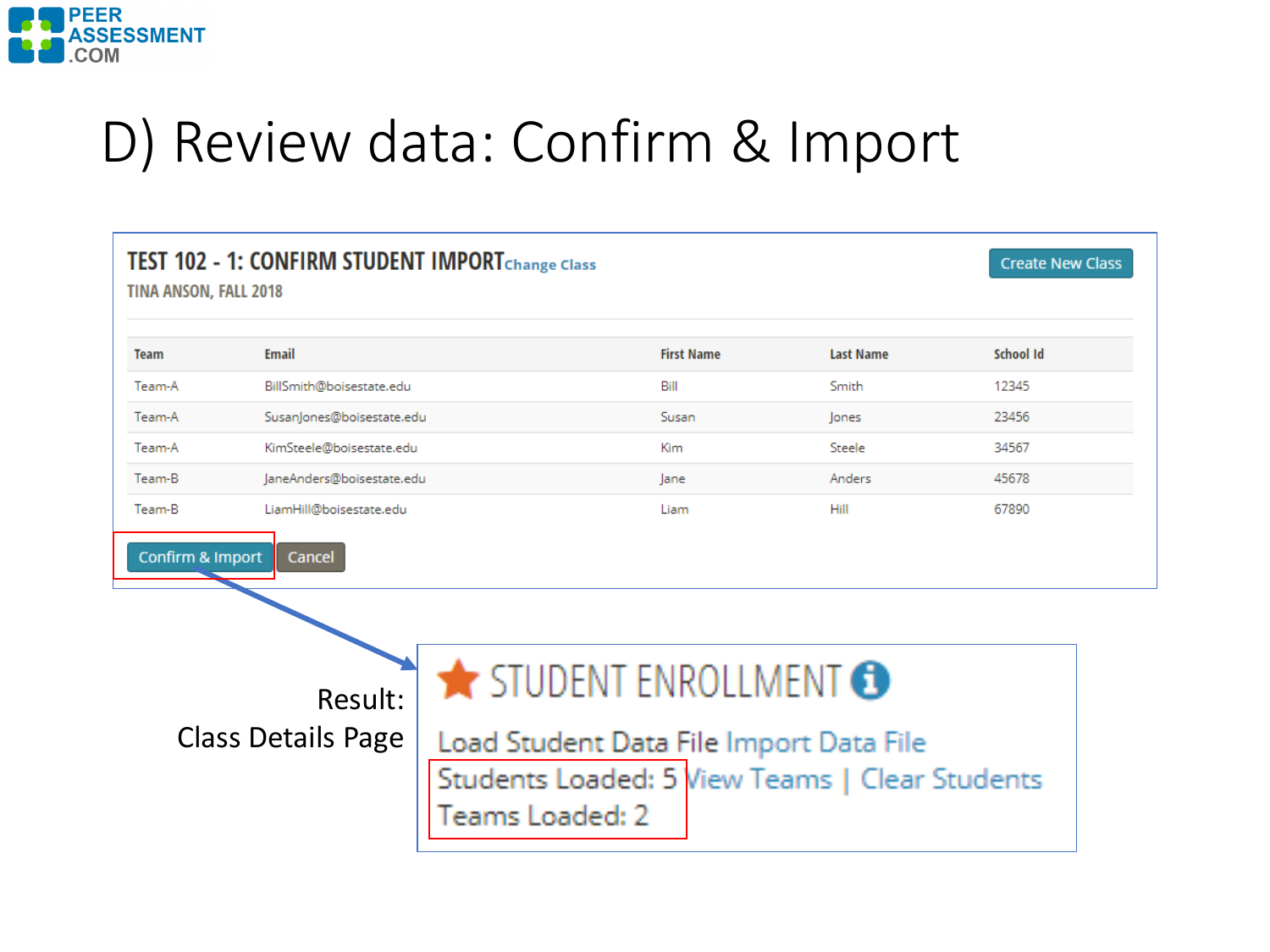

## D) Review data: Confirm & Import

| <b>TINA ANSON, FALL 2018</b>                                                                                                                                                                             | TEST 102 - 1: CONFIRM STUDENT IMPORTChange Class |  |                   |                  | <b>Create New Class</b> |  |  |  |
|----------------------------------------------------------------------------------------------------------------------------------------------------------------------------------------------------------|--------------------------------------------------|--|-------------------|------------------|-------------------------|--|--|--|
| <b>Team</b>                                                                                                                                                                                              | Email                                            |  | <b>First Name</b> | <b>Last Name</b> | School Id               |  |  |  |
| Team-A                                                                                                                                                                                                   | BillSmith@boisestate.edu                         |  | Bill              | Smith            | 12345                   |  |  |  |
| Team-A                                                                                                                                                                                                   | SusanJones@boisestate.edu                        |  | Susan             | Jones            | 23456                   |  |  |  |
| Team-A                                                                                                                                                                                                   | KimSteele@boisestate.edu                         |  | Kim               | Steele           | 34567                   |  |  |  |
| Team-B                                                                                                                                                                                                   | JaneAnders@boisestate.edu                        |  | lane              | Anders           | 45678                   |  |  |  |
| Team-B                                                                                                                                                                                                   | LiamHill@boisestate.edu                          |  | Liam              | Hill             | 67890                   |  |  |  |
| Confirm & Import<br>Cancel<br>STUDENT ENROLLMENT<br>Result:<br><b>Class Details Page</b><br>Load Student Data File Import Data File<br>Students Loaded: 5 View Teams   Clear Students<br>Teams Loaded: 2 |                                                  |  |                   |                  |                         |  |  |  |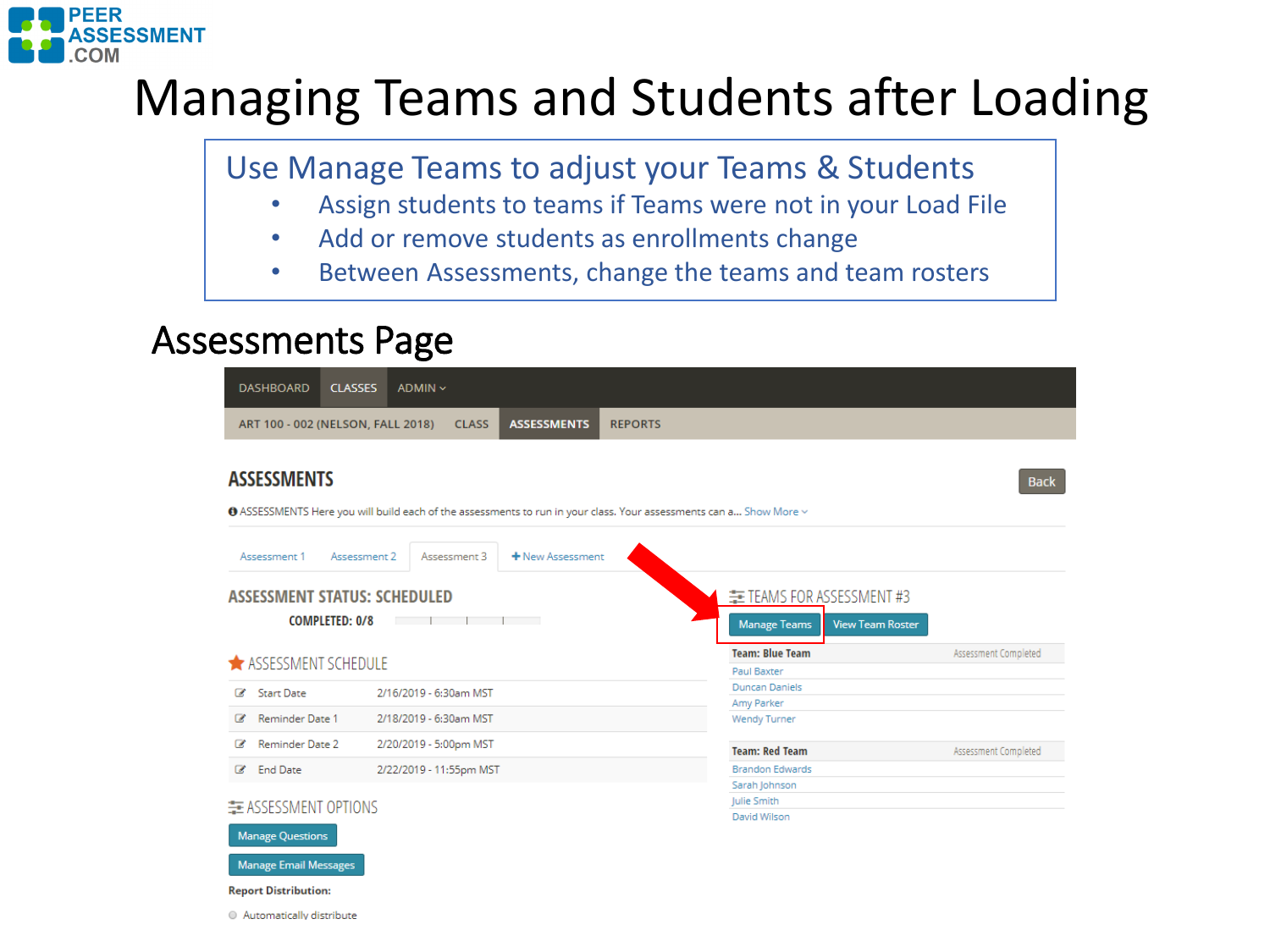

### Managing Teams and Students after Loading

Use Manage Teams to adjust your Teams & Students

- Assign students to teams if Teams were not in your Load File
- Add or remove students as enrollments change
- Between Assessments, change the teams and team rosters

### Assessments Page

| <b>DASHBOARD</b>                                                                                                                                             | <b>CLASSES</b>                                   | ADMIN ~                 |  |  |                                              |                                                                             |                      |  |  |
|--------------------------------------------------------------------------------------------------------------------------------------------------------------|--------------------------------------------------|-------------------------|--|--|----------------------------------------------|-----------------------------------------------------------------------------|----------------------|--|--|
| <b>ASSESSMENTS</b><br>ART 100 - 002 (NELSON, FALL 2018)<br><b>REPORTS</b><br><b>CLASS</b>                                                                    |                                                  |                         |  |  |                                              |                                                                             |                      |  |  |
| <b>ASSESSMENTS</b><br><b>Back</b><br>● ASSESSMENTS Here you will build each of the assessments to run in your class. Your assessments can a Show More $\vee$ |                                                  |                         |  |  |                                              |                                                                             |                      |  |  |
| Assessment 1                                                                                                                                                 | + New Assessment<br>Assessment 2<br>Assessment 3 |                         |  |  |                                              |                                                                             |                      |  |  |
| <b>ASSESSMENT STATUS: SCHEDULED</b><br><b>COMPLETED: 0/8</b><br>the control of the control of                                                                |                                                  |                         |  |  |                                              | 主 TEAMS FOR ASSESSMENT #3<br><b>Manage Teams</b><br><b>View Team Roster</b> |                      |  |  |
| ASSESSMENT SCHEDULE                                                                                                                                          |                                                  |                         |  |  |                                              | <b>Team: Blue Team</b><br>Paul Baxter                                       | Assessment Completed |  |  |
| <b>Start Date</b><br>$\overline{\mathscr{L}}$                                                                                                                | 2/16/2019 - 6:30am MST                           |                         |  |  |                                              | <b>Duncan Daniels</b><br>Amy Parker                                         |                      |  |  |
| Reminder Date 1<br>$\overline{\mathscr{L}}$                                                                                                                  |                                                  | 2/18/2019 - 6:30am MST  |  |  |                                              | <b>Wendy Turner</b>                                                         |                      |  |  |
| Reminder Date 2<br>☞                                                                                                                                         |                                                  | 2/20/2019 - 5:00pm MST  |  |  |                                              | <b>Team: Red Team</b>                                                       | Assessment Completed |  |  |
| <b>End Date</b><br>$\overline{d}$                                                                                                                            |                                                  | 2/22/2019 - 11:55pm MST |  |  |                                              | <b>Brandon Edwards</b>                                                      |                      |  |  |
| E ASSESSMENT OPTIONS<br><b>Manage Questions</b>                                                                                                              |                                                  |                         |  |  | Sarah Johnson<br>Julie Smith<br>David Wilson |                                                                             |                      |  |  |
| <b>Manage Email Messages</b><br><b>Report Distribution:</b>                                                                                                  |                                                  |                         |  |  |                                              |                                                                             |                      |  |  |

Automatically distribute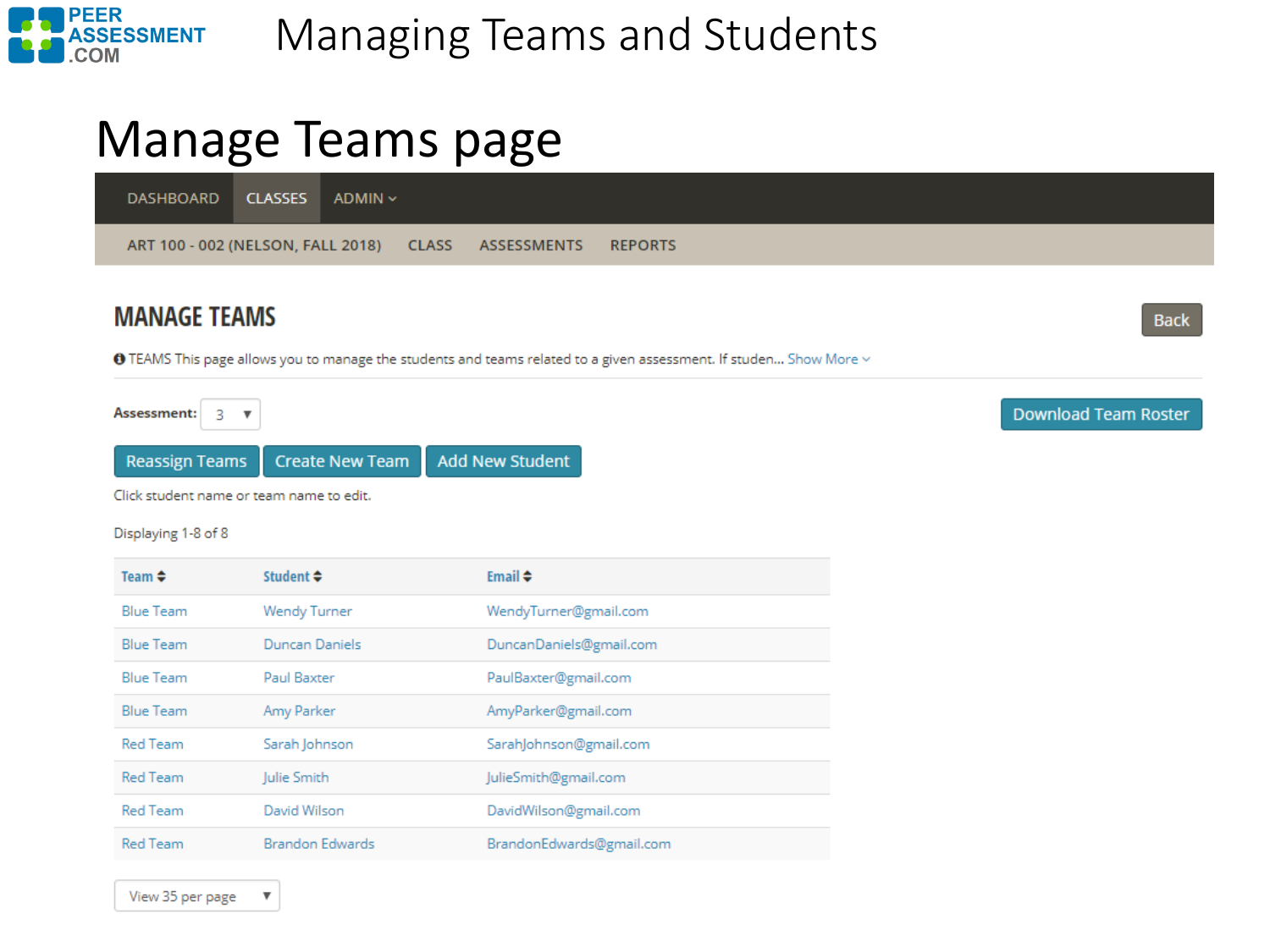

### Manage Teams page

**DASHBOARD CLASSES** ADMIN ~ ART 100 - 002 (NELSON, FALL 2018) **CLASS REPORTS ASSESSMENTS** 

#### **MANAGE TEAMS**

❶ TEAMS This page allows you to manage the students and teams related to a given assessment. If studen... Show More  $\vee$ 

Assessment: 3  $\overline{\phantom{a}}$ **Reassign Teams Create New Team Add New Student** 

Click student name or team name to edit.

Displaying 1-8 of 8

| Team $\triangle$ | Student $\div$         | Email $\triangleq$       |
|------------------|------------------------|--------------------------|
| <b>Blue Team</b> | <b>Wendy Turner</b>    | WendyTurner@gmail.com    |
| <b>Blue Team</b> | Duncan Daniels         | DuncanDaniels@gmail.com  |
| <b>Blue Team</b> | <b>Paul Baxter</b>     | PaulBaxter@gmail.com     |
| <b>Blue Team</b> | Amy Parker             | AmyParker@gmail.com      |
| <b>Red Team</b>  | Sarah Johnson          | SarahJohnson@gmail.com   |
| <b>Red Team</b>  | Julie Smith            | JulieSmith@gmail.com     |
| <b>Red Team</b>  | David Wilson           | DavidWilson@gmail.com    |
| <b>Red Team</b>  | <b>Brandon Edwards</b> | BrandonEdwards@gmail.com |

**Download Team Roster** 

**Back** 

 $\boldsymbol{\mathrm{v}}$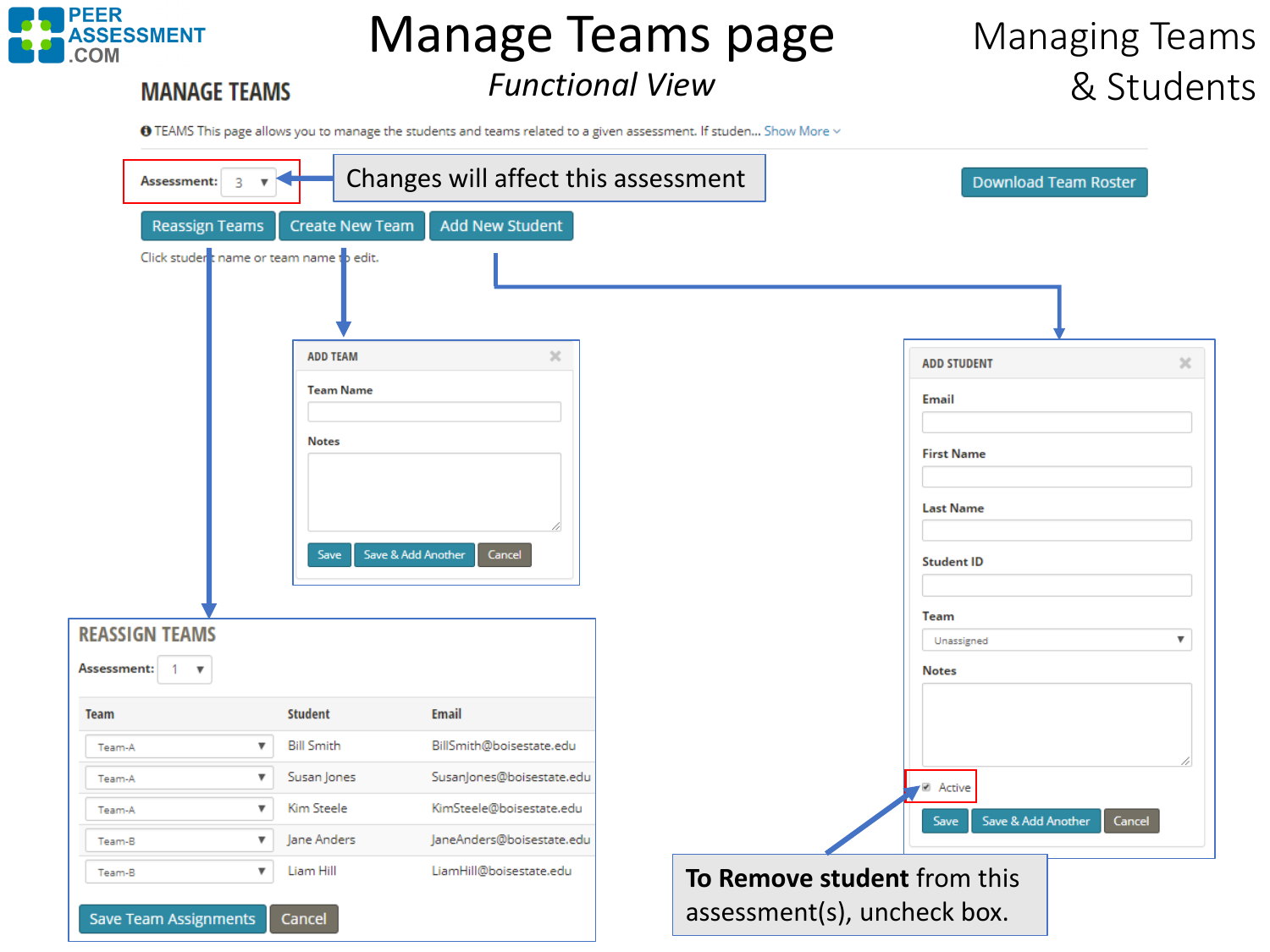

**MANAGE TEAMS** 

# Manage Teams page

#### *Functional View*

### Managing Teams & Students

● TEAMS This page allows you to manage the students and teams related to a given assessment. If studen... Show More  $\vee$ 

| Assessment:<br>3                                         |                                          | Changes will affect this assessment |                             |                            | <b>Download Team Roster</b> |
|----------------------------------------------------------|------------------------------------------|-------------------------------------|-----------------------------|----------------------------|-----------------------------|
| <b>Reassign Teams</b>                                    | <b>Create New Team</b>                   | <b>Add New Student</b>              |                             |                            |                             |
| Click studer t name or team name to edit.                |                                          |                                     |                             |                            |                             |
|                                                          | <b>ADD TEAM</b>                          | ×                                   |                             | <b>ADD STUDENT</b>         | $\times$                    |
|                                                          | <b>Team Name</b>                         |                                     |                             | <b>Email</b>               |                             |
|                                                          |                                          |                                     |                             |                            |                             |
|                                                          | <b>Notes</b>                             |                                     |                             | <b>First Name</b>          |                             |
|                                                          |                                          |                                     |                             |                            |                             |
|                                                          |                                          |                                     |                             | <b>Last Name</b>           |                             |
|                                                          | Save                                     | Save & Add Another<br>Cancel        |                             | <b>Student ID</b><br>Team  |                             |
| <b>REASSIGN TEAMS</b>                                    |                                          |                                     |                             | Unassigned                 | $\overline{\mathbf{v}}$     |
| Assessment:<br>$\mathbf{1}$<br>$\boldsymbol{\mathrm{v}}$ |                                          |                                     |                             | <b>Notes</b>               |                             |
| <b>Team</b>                                              | <b>Student</b>                           | <b>Email</b>                        |                             |                            |                             |
| $\boldsymbol{\mathrm{v}}$<br>Team-A                      | <b>Bill Smith</b>                        | BillSmith@boisestate.edu            |                             |                            |                             |
| Team-A                                                   | Susan Jones<br>$\boldsymbol{\mathrm{v}}$ | SusanJones@boisestate.edu           |                             | <b>■</b> Active            |                             |
| Team-A                                                   | Kim Steele<br>▼                          | KimSteele@boisestate.edu            |                             | Save & Add Another<br>Save | Cancel                      |
| Team-B                                                   | Jane Anders<br>▼                         | JaneAnders@boisestate.edu           |                             |                            |                             |
| Team-B                                                   | Liam Hill<br>$\overline{\mathbf{v}}$     | LiamHill@boisestate.edu             | To Remove student from this |                            |                             |
| <b>Save Team Assignments</b>                             | Cancel                                   |                                     | assessment(s), uncheck box. |                            |                             |